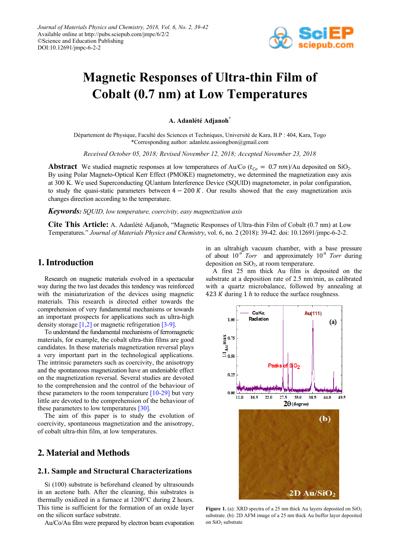

# **Magnetic Responses of Ultra-thin Film of Cobalt (0.7 nm) at Low Temperatures**

**A. Adanlété Adjanoh\***

Département de Physique, Faculté des Sciences et Techniques, Université de Kara, B.P : 404, Kara, Togo \*Corresponding author: adanlete.assiongbon@gmail.com

*Received October 05, 2018; Revised November 12, 2018; Accepted November 23, 2018*

**Abstract** We studied magnetic responses at low temperatures of Au/Co ( $t_{Co} = 0.7$  nm)/Au deposited on SiO<sub>2</sub>. By using Polar Magneto-Optical Kerr Effect (PMOKE) magnetometry, we determined the magnetization easy axis at 300 K. We used Superconducting QUantum Interference Device (SQUID) magnetometer, in polar configuration, to study the quasi-static parameters between  $4 - 200 K$ . Our results showed that the easy magnetization axis changes direction according to the temperature.

*Keywords: SQUID, low temperature, coercivity, easy magnetization axis*

**Cite This Article:** A. Adanlété Adjanoh, "Magnetic Responses of Ultra-thin Film of Cobalt (0.7 nm) at Low Temperatures." *Journal of Materials Physics and Chemistry*, vol. 6, no. 2 (2018): 39-42. doi: 10.12691/jmpc-6-2-2.

# **1. Introduction**

Research on magnetic materials evolved in a spectacular way during the two last decades this tendency was reinforced with the miniaturization of the devices using magnetic materials. This research is directed either towards the comprehension of very fundamental mechanisms or towards an important prospects for applications such as ultra-high density storage [\[1,2\]](#page-2-0) or magnetic refrigeratio[n \[3-9\].](#page-2-1)

To understand the fundamental mechanisms of ferromagnetic materials, for example, the cobalt ultra-thin films are good candidates. In these materials magnetization reversal plays a very important part in the technological applications. The intrinsic parameters such as coercivity, the anisotropy and the spontaneous magnetization have an undeniable effect on the magnetization reversal. Several studies are devoted to the comprehension and the control of the behaviour of these parameters to the room temperature  $[10-29]$  but very little are devoted to the comprehension of the behaviour of these parameters to low temperatures [\[30\].](#page-3-0)

The aim of this paper is to study the evolution of coercivity, spontaneous magnetization and the anisotropy, of cobalt ultra-thin film, at low temperatures.

# **2. Material and Methods**

#### **2.1. Sample and Structural Characterizations**

Si (100) substrate is beforehand cleaned by ultrasounds in an acetone bath. After the cleaning, this substrates is thermally oxidized in a furnace at 1200°C during 2 hours. This time is sufficient for the formation of an oxide layer on the silicon surface substrate.

Au/Co/Au film were prepared by electron beam evaporation

in an ultrahigh vacuum chamber, with a base pressure of about 10-9 *Torr* and approximately 10-8 *Torr* during deposition on  $SiO<sub>2</sub>$ , at room temperature.

A first 25 nm thick Au film is deposited on the substrate at a deposition rate of 2.5 nm/min, as calibrated with a quartz microbalance, followed by annealing at 423 K during 1  $h$  to reduce the surface roughness.



**Figure 1.** (a): XRD spectra of a 25 nm thick Au layers deposited on SiO<sub>2</sub> substrate. (b): 2D AFM image of a 25 nm thick Au buffer layer deposited on SiO<sub>2</sub> substrate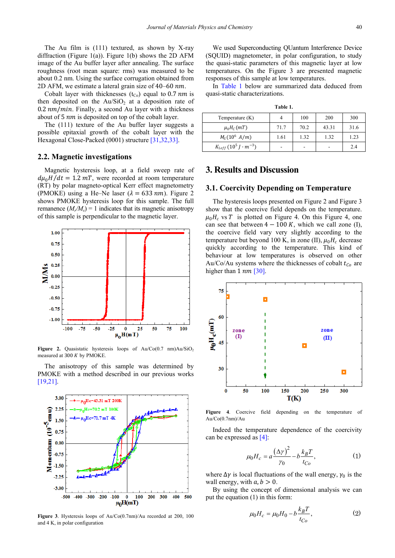The Au film is (111) textured, as shown by X-ray diffraction (Figure 1(a)). Figure 1(b) shows the 2D AFM image of the Au buffer layer after annealing. The surface roughness (root mean square: rms) was measured to be about 0.2 nm. Using the surface corrugation obtained from 2D AFM, we estimate a lateral grain size of  $40-60$  nm.

Cobalt layer with thicknesses  $(t_{Co})$  equal to 0.7 nm is then deposited on the  $Au/SiO<sub>2</sub>$  at a deposition rate of  $0.2 \, nm/min$ . Finally, a second Au layer with a thickness about of  $5 \, \text{nm}$  is deposited on top of the cobalt layer.

The (111) texture of the Au buffer layer suggests a possible epitaxial growth of the cobalt layer with the Hexagonal Close-Packed (0001) structur[e \[31,32,33\].](#page-3-1)

#### **2.2. Magnetic investigations**

Magnetic hysteresis loop, at a field sweep rate of  $d\mu_0H/dt = 1.2$  mT, were recorded at room temperature (RT) by polar magneto-optical Kerr effect magnetometry (PMOKE) using a He–Ne laser ( $\lambda = 633 \text{ nm}$ ). Figure 2. shows PMOKE hysteresis loop for this sample. The full remanence  $(M_x/M_s) = 1$  indicates that its magnetic anisotropy of this sample is perpendicular to the magnetic layer.



**Figure** 2. Quasistatic hysteresis loops of  $Au/Co(0.7 \text{ nm})Au/SiO<sub>2</sub>$ measured at 300  $K$  by PMOKE.

The anisotropy of this sample was determined by PMOKE with a method described in our previous works [\[19,21\].](#page-3-2)



**Figure 3**. Hysteresis loops of Au/Co(0.7nm)/Au recorded at 200, 100 and 4 K, in polar configuration

We used Superconducting QUantum Interference Device (SQUID) magnetometer, in polar configuration, to study the quasi-static parameters of this magnetic layer at low temperatures. On the Figure 3 are presented magnetic responses of this sample at low temperatures.

In [Table 1](#page-1-0) below are summarized data deduced from quasi-static characterizations.

| `able |  |
|-------|--|
|-------|--|

<span id="page-1-0"></span>

| Temperature $(K)$                |      | 100                      | 200   | 300  |
|----------------------------------|------|--------------------------|-------|------|
| $\mu_0 H_C(mT)$                  | 71.7 | 70.2                     | 43.31 | 31.6 |
| $M_S(10^6 \;A/m)$                | 1.61 | 1.32                     | 1.32  | 1.23 |
| $K_{1eff} (10^5 J \cdot m^{-3})$ |      | $\overline{\phantom{a}}$ |       | 2.4  |

# **3. Results and Discussion**

#### **3.1. Coercivity Depending on Temperature**

The hysteresis loops presented on Figure 2 and Figure 3 show that the coercive field depends on the temperature.  $\mu_0 H_c$  vs T is plotted on Figure 4. On this Figure 4, one can see that between  $4 - 100 K$ , which we call zone (I), the coercive field vary very slightly according to the temperature but beyond 100 K, in zone (II),  $\mu_0 H_c$  decrease quickly according to the temperature. This kind of behaviour at low temperatures is observed on other Au/Co/Au systems where the thicknesses of cobalt  $t_{Co}$  are higher than  $1 \, nm$  [\[30\].](#page-3-0)



**Figure 4**. Coercive field depending on the temperature of Au/Co(0.7nm)/Au

Indeed the temperature dependence of the coercivity can be expressed as [\[4\]:](#page-2-3)

$$
\mu_0 H_c = a \frac{(\Delta \gamma)^2}{\gamma_0} - b \frac{k_B T}{t_{Co}},\tag{1}
$$

where  $\Delta \gamma$  is local fluctuations of the wall energy,  $\gamma_0$  is the wall energy, with  $a, b > 0$ .

By using the concept of dimensional analysis we can put the equation (1) in this form:

$$
\mu_0 H_c = \mu_0 H_0 - b \frac{k_B T}{t_{Co}},
$$
\n(2)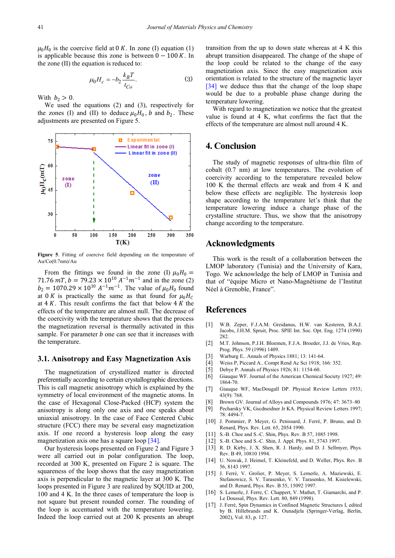$\mu_0 H_0$  is the coercive field at 0 K. In zone (I) equation (1) is applicable because this zone is between  $0 - 100 K$ . In the zone (II) the equation is reduced to:

$$
\mu_0 H_c = -b_2 \frac{k_B T}{t_{Co}}.\tag{3}
$$

With  $b_2 > 0$ .

We used the equations (2) and (3), respectively for the zones (I) and (II) to deduce  $\mu_0 H_0$ , b and  $b_2$ . These adjustments are presented on Figure 5.



**Figure 5**. Fitting of coercive field depending on the temperature of  $Au/C<sub>0</sub>(0.7nm)/Au$ 

From the fittings we found in the zone (I)  $\mu_0 H_0 =$ 71.76 mT,  $b = 79.23 \times 10^{10} A^{-1} m^{-1}$  and in the zone (2)  $b_2 = 1070.29 \times 10^{10} A^{-1} m^{-1}$ . The value of  $\mu_0 H_0$  found at 0 K is practically the same as that found for  $\mu_0 H_c$ at  $4 K$ . This result confirms the fact that below  $4 K$  the effects of the temperature are almost null. The decrease of the coercivity with the temperature shows that the process the magnetization reversal is thermally activated in this sample. For parameter  $b$  one can see that it increases with the temperature.

#### **3.1. Anisotropy and Easy Magnetization Axis**

The magnetization of crystallized matter is directed preferentially according to certain crystallographic directions. This is call magnetic anisotropy which is explained by the symmetry of local environment of the magnetic atoms. In the case of Hexagonal Close-Packed (HCP) system the anisotropy is along only one axis and one speaks about uniaxial anisotropy. In the case of Face Centered Cubic structure (FCC) there may be several easy magnetization axis. If one record a hysteresis loop along the easy magnetization axis one has a square loop [\[34\].](#page-3-3)

Our hysteresis loops presented on Figure 2 and Figure 3 were all carried out in polar configuration. The loop, recorded at 300 K, presented on Figure 2 is square. The squareness of the loop shows that the easy magnetization axis is perpendicular to the magnetic layer at 300 K. The loops presented in Figure 3 are realized by SQUID at 200, 100 and 4 K. In the three cases of temperature the loop is not square but present rounded corner. The rounding of the loop is accentuated with the temperature lowering. Indeed the loop carried out at 200 K presents an abrupt transition from the up to down state whereas at 4 K this abrupt transition disappeared. The change of the shape of the loop could be related to the change of the easy magnetization axis. Since the easy magnetization axis orientation is related to the structure of the magnetic layer [\[34\]](#page-3-3) we deduce thus that the change of the loop shape would be due to a probable phase change during the temperature lowering.

With regard to magnetization we notice that the greatest value is found at 4 K, what confirms the fact that the effects of the temperature are almost null around 4 K.

# **4. Conclusion**

The study of magnetic responses of ultra-thin film of cobalt (0.7 nm) at low temperatures. The evolution of coercivity according to the temperature revealed below 100 K the thermal effects are weak and from 4 K and below these effects are negligible. The hysteresis loop shape according to the temperature let's think that the temperature lowering induce a change phase of the crystalline structure. Thus, we show that the anisotropy change according to the temperature.

## **Acknowledgments**

This work is the result of a collaboration between the LMOP laboratory (Tunisia) and the University of Kara, Togo. We acknowledge the help of LMOP in Tunisia and that of "équipe Micro et Nano-Magnétisme de l'Institut Néel à Grenoble, France".

# **References**

- <span id="page-2-0"></span>[1] W.B. Zeper, F.J.A.M. Greidanus, H.W. van Kesteren, B.A.J. Jacobs, J.H.M. Spruit, Proc. SPIE Int. Soc. Opt. Eng. 1274 (1990) 282.
- [2] M.T. Johnson, P.J.H. Bloemen, F.J.A. Broeder, J.J. de Vries, Rep. Prog. Phys. 59 (1996) 1409.
- <span id="page-2-1"></span>[3] Warburg E.. Annals of Physics 1881; 13: 141-64.
- <span id="page-2-3"></span>[4] Weiss P, Piccard A.. Compt Rend Ac Sci 1918; 166: 352.
- [5] Debye P. Annals of Physics 1926; 81: 1154-60.
- [6] Giauque WF. Journal of the American Chemical Society 1927; 49: 1864-70.
- [7] Giauque WF, MacDougall DP. Physical Review Letters 1933; 43(9): 768.
- [8] Brown GV. Journal of Alloys and Compounds 1976; 47: 3673–80
- [9] Pecharsky VK, Gscdneidner Jr KA. Physical Review Letters 1997; 78: 4494-7.
- <span id="page-2-2"></span>[10] J. Pommier, P. Meyer, G. Penissard, J. Ferré, P. Bruno, and D. Renard, Phys. Rev. Lett. 65, 2054 1990.
- [11] S.-B. Choe and S.-C. Shin, Phys. Rev. B 57, 1085 1998.
- [12] S.-B. Choe and S.-C. Shin, J. Appl. Phys. 81, 5743 1997.
- [13] R. D. Kirby, J. X. Shen, R. J. Hardy, and D. J. Sellmyer, Phys. Rev. B 49, 10810 1994.
- [14] U. Nowak, J. Heimel, T. Kleinefeld, and D. Weller, Phys. Rev. B 56, 8143 1997.
- [15] J. Ferré, V. Grolier, P. Meyer, S. Lemerle, A. Maziewski, E. Stefanowicz, S. V. Tarasenko, V. V. Tarasenko, M. Kisielewski, and D. Renard, Phys. Rev. B 55, 15092 1997.
- [16] S. Lemerle, J. Ferre, C. Chappert, V. Mathet, T. Giamarchi, and P. Le Doussal, Phys. Rev. Lett. 80, 849 (1998).
- [17] J. Ferré, Spin Dynamics in Confined Magnetic Structures I, edited by B. Hillebrands and K. Ounadjela (Springer-Verlag, Berlin, 2002), Vol. 83, p. 127.